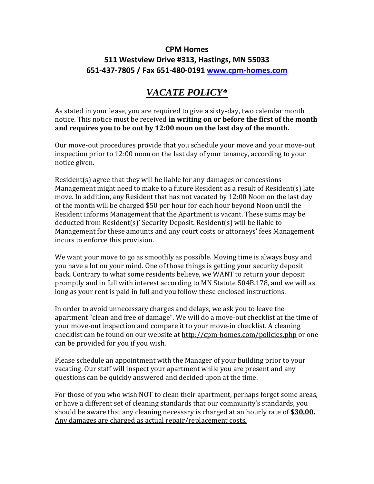## **CPM Homes 511 Westview Drive #313, Hastings, MN 55033 651-437-7805 / Fax 651-480-0191 [www.cpm-homes.com](http://www.cpm-homes.com/)**

## *VACATE POLICY\**

As stated in your lease, you are required to give a sixty-day, two calendar month notice. This notice must be received **in writing on or before the first of the month and requires you to be out by 12:00 noon on the last day of the month.**

Our move-out procedures provide that you schedule your move and your move-out inspection prior to 12:00 noon on the last day of your tenancy, according to your notice given.

Resident(s) agree that they will be liable for any damages or concessions Management might need to make to a future Resident as a result of Resident(s) late move. In addition, any Resident that has not vacated by 12:00 Noon on the last day of the month will be charged \$50 per hour for each hour beyond Noon until the Resident informs Management that the Apartment is vacant. These sums may be deducted from Resident(s)' Security Deposit. Resident(s) will be liable to Management for these amounts and any court costs or attorneys' fees Management incurs to enforce this provision.

We want your move to go as smoothly as possible. Moving time is always busy and you have a lot on your mind. One of those things is getting your security deposit back. Contrary to what some residents believe, we WANT to return your deposit promptly and in full with interest according to MN Statute 504B.178, and we will as long as your rent is paid in full and you follow these enclosed instructions.

In order to avoid unnecessary charges and delays, we ask you to leave the apartment "clean and free of damage". We will do a move-out checklist at the time of your move-out inspection and compare it to your move-in checklist. A cleaning checklist can be found on our website at<http://cpm-homes.com/policies.php> or one can be provided for you if you wish.

Please schedule an appointment with the Manager of your building prior to your vacating. Our staff will inspect your apartment while you are present and any questions can be quickly answered and decided upon at the time.

For those of you who wish NOT to clean their apartment, perhaps forget some areas, or have a different set of cleaning standards that our community's standards, you should be aware that any cleaning necessary is charged at an hourly rate of **\$30.00.** Any damages are charged as actual repair/replacement costs.